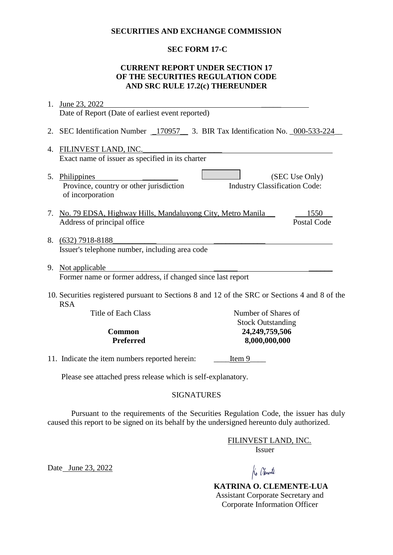### **SECURITIES AND EXCHANGE COMMISSION**

## **SEC FORM 17-C**

## **CURRENT REPORT UNDER SECTION 17 OF THE SECURITIES REGULATION CODE AND SRC RULE 17.2(c) THEREUNDER**

| 1.                                                                                                          | June 23, 2022                                                                      |                                      |                    |  |
|-------------------------------------------------------------------------------------------------------------|------------------------------------------------------------------------------------|--------------------------------------|--------------------|--|
|                                                                                                             | Date of Report (Date of earliest event reported)                                   |                                      |                    |  |
|                                                                                                             | 2. SEC Identification Number _170957___ 3. BIR Tax Identification No. _000-533-224 |                                      |                    |  |
| 4.                                                                                                          | FILINVEST LAND, INC.                                                               |                                      |                    |  |
|                                                                                                             | Exact name of issuer as specified in its charter                                   |                                      |                    |  |
|                                                                                                             | 5. Philippines<br>Province, country or other jurisdiction<br>of incorporation      | <b>Industry Classification Code:</b> | (SEC Use Only)     |  |
|                                                                                                             | 7. No. 79 EDSA, Highway Hills, Mandaluyong City, Metro Manila                      |                                      | 1550               |  |
|                                                                                                             | Address of principal office                                                        |                                      | <b>Postal Code</b> |  |
|                                                                                                             | 8. (632) 7918-8188<br>Issuer's telephone number, including area code               |                                      |                    |  |
|                                                                                                             | 9. Not applicable                                                                  |                                      |                    |  |
| Former name or former address, if changed since last report                                                 |                                                                                    |                                      |                    |  |
| 10. Securities registered pursuant to Sections 8 and 12 of the SRC or Sections 4 and 8 of the<br><b>RSA</b> |                                                                                    |                                      |                    |  |
|                                                                                                             | <b>Title of Each Class</b>                                                         | Number of Shares of                  |                    |  |
|                                                                                                             |                                                                                    | <b>Stock Outstanding</b>             |                    |  |
| Common<br><b>Preferred</b>                                                                                  |                                                                                    | 24,249,759,506                       |                    |  |
|                                                                                                             |                                                                                    | 8,000,000,000                        |                    |  |
|                                                                                                             | 11. Indicate the item numbers reported herein:                                     | Item 9                               |                    |  |
|                                                                                                             | Please see attached press release which is self-explanatory.                       |                                      |                    |  |

# SIGNATURES

Pursuant to the requirements of the Securities Regulation Code, the issuer has duly caused this report to be signed on its behalf by the undersigned hereunto duly authorized.

> FILINVEST LAND, INC. Issuer

Date June 23, 2022

Ko Chemente

 **KATRINA O. CLEMENTE-LUA** Assistant Corporate Secretary and Corporate Information Officer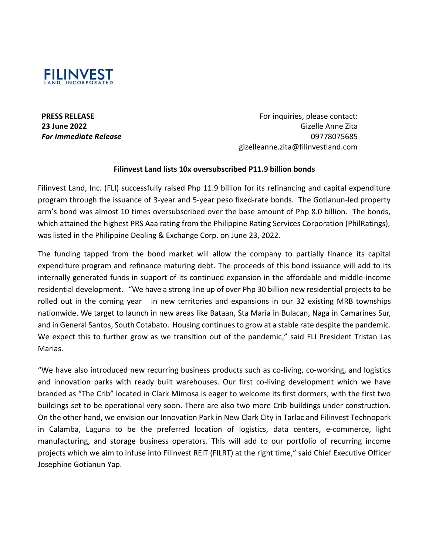

**PRESS RELEASE 23 June 2022** *For Immediate Release*

For inquiries, please contact: Gizelle Anne Zita 09778075685 gizelleanne.zita@filinvestland.com

### **Filinvest Land lists 10x oversubscribed P11.9 billion bonds**

Filinvest Land, Inc. (FLI) successfully raised Php 11.9 billion for its refinancing and capital expenditure program through the issuance of 3-year and 5-year peso fixed-rate bonds. The Gotianun-led property arm's bond was almost 10 times oversubscribed over the base amount of Php 8.0 billion. The bonds, which attained the highest PRS Aaa rating from the Philippine Rating Services Corporation (PhilRatings), was listed in the Philippine Dealing & Exchange Corp. on June 23, 2022.

The funding tapped from the bond market will allow the company to partially finance its capital expenditure program and refinance maturing debt. The proceeds of this bond issuance will add to its internally generated funds in support of its continued expansion in the affordable and middle-income residential development. "We have a strong line up of over Php 30 billion new residential projects to be rolled out in the coming year in new territories and expansions in our 32 existing MRB townships nationwide. We target to launch in new areas like Bataan, Sta Maria in Bulacan, Naga in Camarines Sur, and in General Santos, South Cotabato. Housing continues to grow at a stable rate despite the pandemic. We expect this to further grow as we transition out of the pandemic," said FLI President Tristan Las Marias.

"We have also introduced new recurring business products such as co-living, co-working, and logistics and innovation parks with ready built warehouses. Our first co-living development which we have branded as "The Crib" located in Clark Mimosa is eager to welcome its first dormers, with the first two buildings set to be operational very soon. There are also two more Crib buildings under construction. On the other hand, we envision our Innovation Park in New Clark City in Tarlac and Filinvest Technopark in Calamba, Laguna to be the preferred location of logistics, data centers, e-commerce, light manufacturing, and storage business operators. This will add to our portfolio of recurring income projects which we aim to infuse into Filinvest REIT (FILRT) at the right time," said Chief Executive Officer Josephine Gotianun Yap.